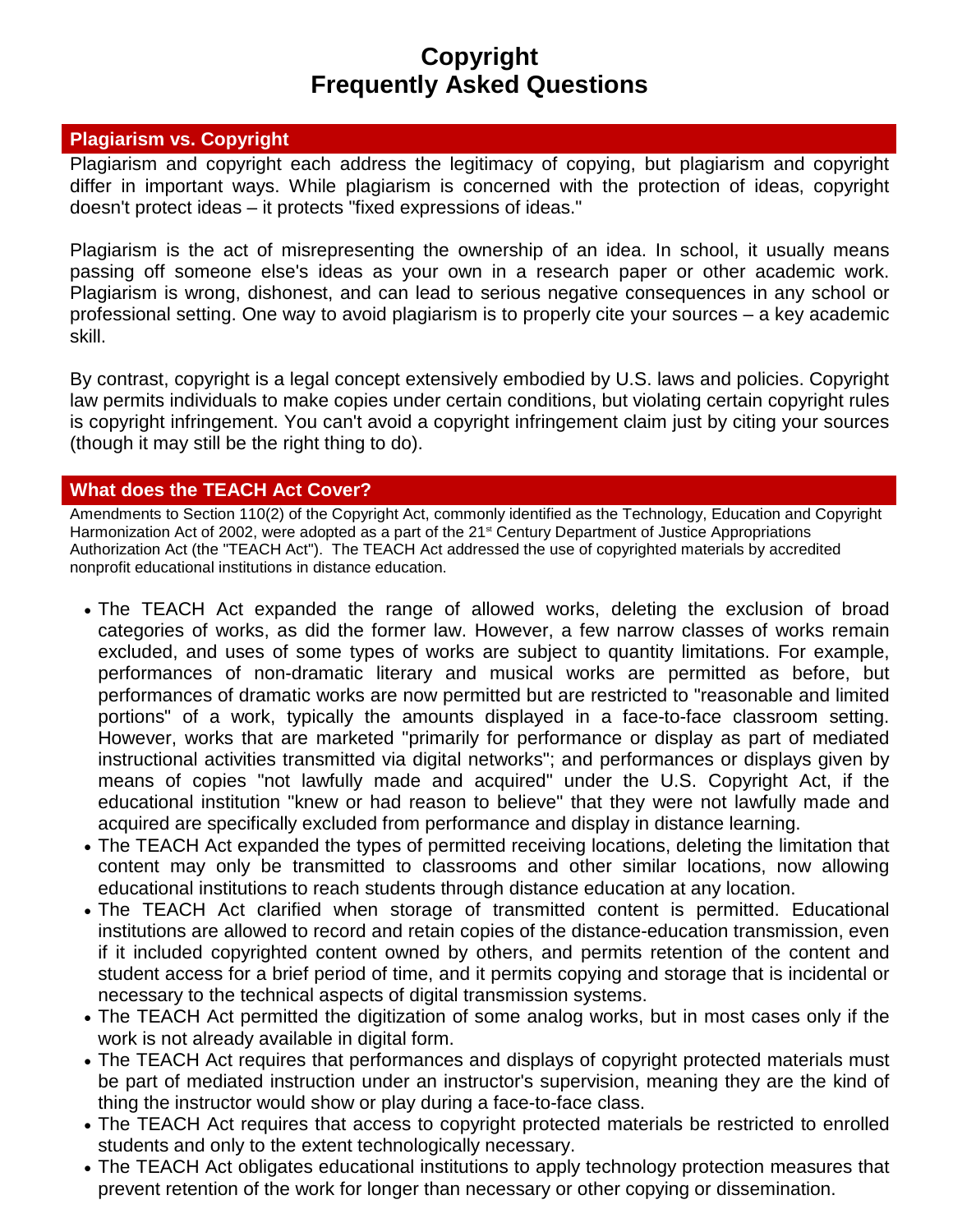# **Copyright Frequently Asked Questions**

#### **Plagiarism vs. Copyright**

Plagiarism and copyright each address the legitimacy of copying, but plagiarism and copyright differ in important ways. While plagiarism is concerned with the protection of ideas, copyright doesn't protect ideas – it protects "fixed expressions of ideas."

Plagiarism is the act of misrepresenting the ownership of an idea. In school, it usually means passing off someone else's ideas as your own in a research paper or other academic work. Plagiarism is wrong, dishonest, and can lead to serious negative consequences in any school or professional setting. One way to avoid plagiarism is to properly cite your sources – a key academic skill.

By contrast, copyright is a legal concept extensively embodied by U.S. laws and policies. Copyright law permits individuals to make copies under certain conditions, but violating certain copyright rules is copyright infringement. You can't avoid a copyright infringement claim just by citing your sources (though it may still be the right thing to do).

### **What does the TEACH Act Cover?**

Amendments to Section 110(2) of the Copyright Act, commonly identified as the Technology, Education and Copyright Harmonization Act of 2002, were adopted as a part of the 21<sup>st</sup> Century Department of Justice Appropriations Authorization Act (the "TEACH Act"). The TEACH Act addressed the use of copyrighted materials by accredited nonprofit educational institutions in distance education.

- The TEACH Act expanded the range of allowed works, deleting the exclusion of broad categories of works, as did the former law. However, a few narrow classes of works remain excluded, and uses of some types of works are subject to quantity limitations. For example, performances of non-dramatic literary and musical works are permitted as before, but performances of dramatic works are now permitted but are restricted to "reasonable and limited portions" of a work, typically the amounts displayed in a face-to-face classroom setting. However, works that are marketed "primarily for performance or display as part of mediated instructional activities transmitted via digital networks"; and performances or displays given by means of copies "not lawfully made and acquired" under the U.S. Copyright Act, if the educational institution "knew or had reason to believe" that they were not lawfully made and acquired are specifically excluded from performance and display in distance learning.
- The TEACH Act expanded the types of permitted receiving locations, deleting the limitation that content may only be transmitted to classrooms and other similar locations, now allowing educational institutions to reach students through distance education at any location.
- The TEACH Act clarified when storage of transmitted content is permitted. Educational institutions are allowed to record and retain copies of the distance-education transmission, even if it included copyrighted content owned by others, and permits retention of the content and student access for a brief period of time, and it permits copying and storage that is incidental or necessary to the technical aspects of digital transmission systems.
- The TEACH Act permitted the digitization of some analog works, but in most cases only if the work is not already available in digital form.
- The TEACH Act requires that performances and displays of copyright protected materials must be part of mediated instruction under an instructor's supervision, meaning they are the kind of thing the instructor would show or play during a face-to-face class.
- The TEACH Act requires that access to copyright protected materials be restricted to enrolled students and only to the extent technologically necessary.
- The TEACH Act obligates educational institutions to apply technology protection measures that prevent retention of the work for longer than necessary or other copying or dissemination.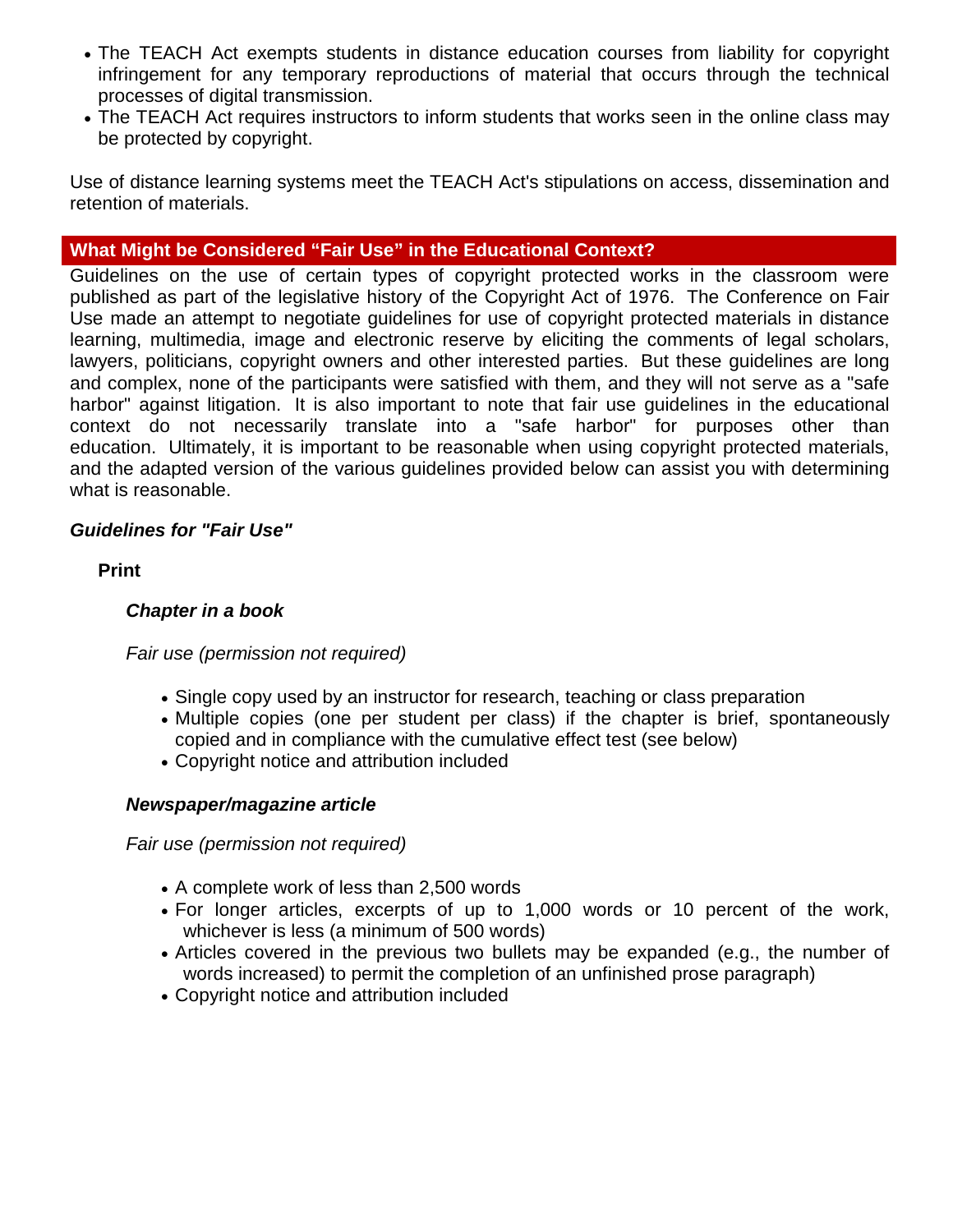- The TEACH Act exempts students in distance education courses from liability for copyright infringement for any temporary reproductions of material that occurs through the technical processes of digital transmission.
- The TEACH Act requires instructors to inform students that works seen in the online class may be protected by copyright.

Use of distance learning systems meet the TEACH Act's stipulations on access, dissemination and retention of materials.

### **What Might be Considered "Fair Use" in the Educational Context?**

Guidelines on the use of certain types of copyright protected works in the classroom were published as part of the legislative history of the Copyright Act of 1976. The Conference on Fair Use made an attempt to negotiate guidelines for use of copyright protected materials in distance learning, multimedia, image and electronic reserve by eliciting the comments of legal scholars, lawyers, politicians, copyright owners and other interested parties. But these guidelines are long and complex, none of the participants were satisfied with them, and they will not serve as a "safe harbor" against litigation. It is also important to note that fair use guidelines in the educational context do not necessarily translate into a "safe harbor" for purposes other than education. Ultimately, it is important to be reasonable when using copyright protected materials, and the adapted version of the various guidelines provided below can assist you with determining what is reasonable.

#### *Guidelines for "Fair Use"*

**Print**

#### *Chapter in a book*

*Fair use (permission not required)*

- Single copy used by an instructor for research, teaching or class preparation
- Multiple copies (one per student per class) if the chapter is brief, spontaneously copied and in compliance with the cumulative effect test (see below)
- Copyright notice and attribution included

#### *Newspaper/magazine article*

*Fair use (permission not required)*

- A complete work of less than 2,500 words
- For longer articles, excerpts of up to 1,000 words or 10 percent of the work, whichever is less (a minimum of 500 words)
- Articles covered in the previous two bullets may be expanded (e.g., the number of words increased) to permit the completion of an unfinished prose paragraph)
- Copyright notice and attribution included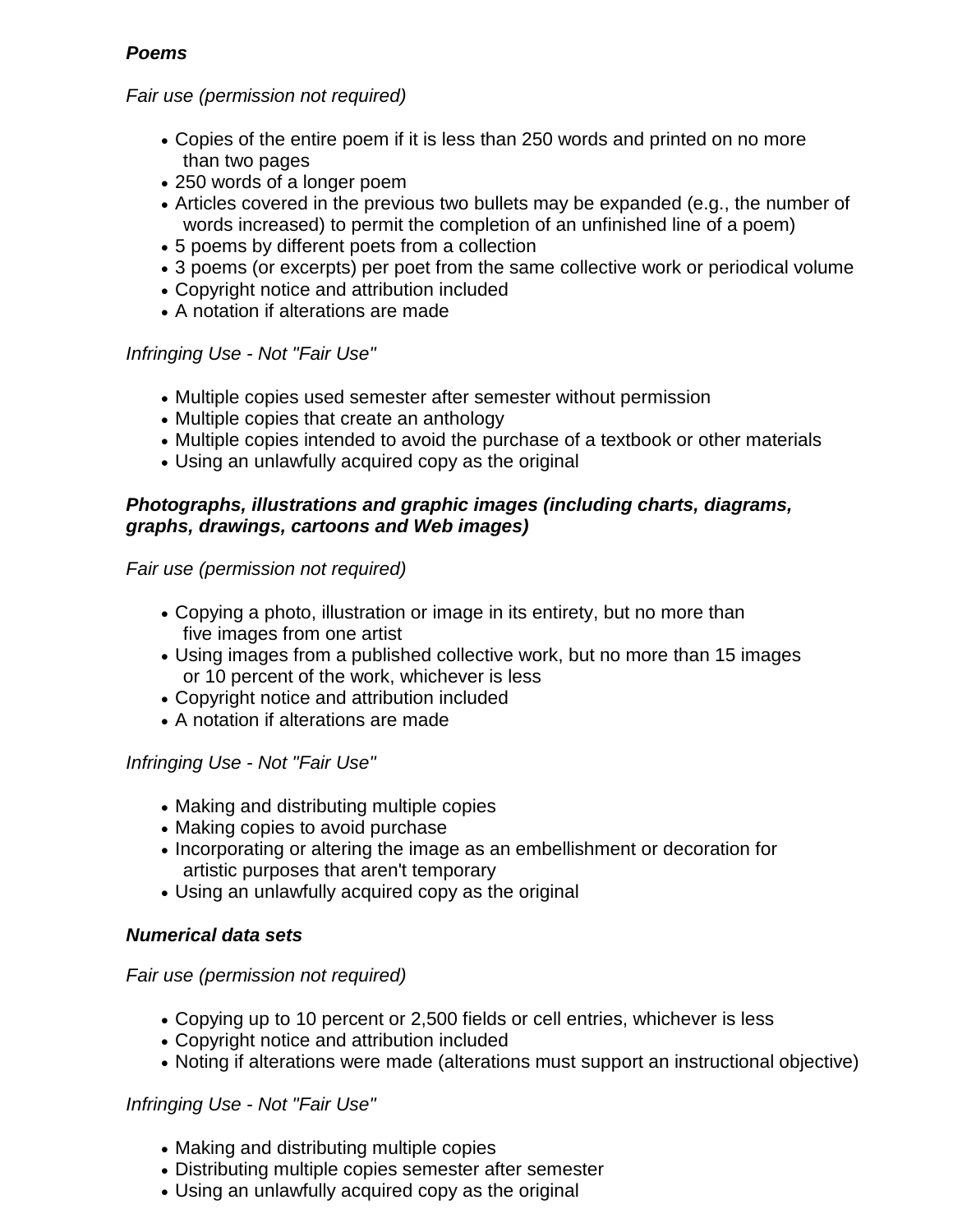## *Poems*

## *Fair use (permission not required)*

- Copies of the entire poem if it is less than 250 words and printed on no more than two pages
- 250 words of a longer poem
- Articles covered in the previous two bullets may be expanded (e.g., the number of words increased) to permit the completion of an unfinished line of a poem)
- 5 poems by different poets from a collection
- 3 poems (or excerpts) per poet from the same collective work or periodical volume
- Copyright notice and attribution included
- A notation if alterations are made

### *Infringing Use - Not "Fair Use"*

- Multiple copies used semester after semester without permission
- Multiple copies that create an anthology
- Multiple copies intended to avoid the purchase of a textbook or other materials
- Using an unlawfully acquired copy as the original

### *Photographs, illustrations and graphic images (including charts, diagrams, graphs, drawings, cartoons and Web images)*

*Fair use (permission not required)*

- Copying a photo, illustration or image in its entirety, but no more than five images from one artist
- Using images from a published collective work, but no more than 15 images or 10 percent of the work, whichever is less
- Copyright notice and attribution included
- A notation if alterations are made

*Infringing Use - Not "Fair Use"*

- Making and distributing multiple copies
- Making copies to avoid purchase
- Incorporating or altering the image as an embellishment or decoration for artistic purposes that aren't temporary
- Using an unlawfully acquired copy as the original

## *Numerical data sets*

### *Fair use (permission not required)*

- Copying up to 10 percent or 2,500 fields or cell entries, whichever is less
- Copyright notice and attribution included
- Noting if alterations were made (alterations must support an instructional objective)

## *Infringing Use - Not "Fair Use"*

- Making and distributing multiple copies
- Distributing multiple copies semester after semester
- Using an unlawfully acquired copy as the original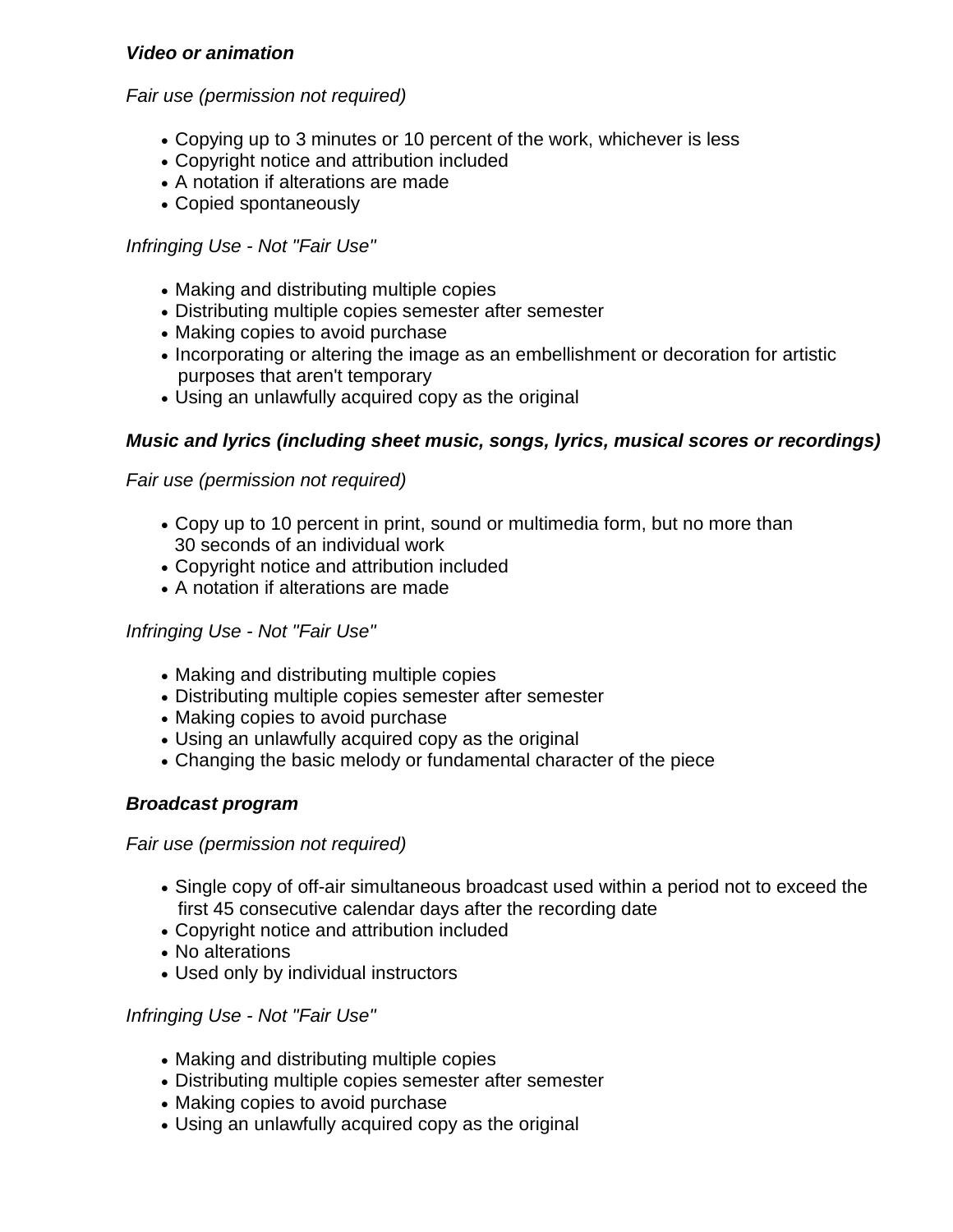#### *Video or animation*

#### *Fair use (permission not required)*

- Copying up to 3 minutes or 10 percent of the work, whichever is less
- Copyright notice and attribution included
- A notation if alterations are made
- Copied spontaneously

## *Infringing Use - Not "Fair Use"*

- Making and distributing multiple copies
- Distributing multiple copies semester after semester
- Making copies to avoid purchase
- Incorporating or altering the image as an embellishment or decoration for artistic purposes that aren't temporary
- Using an unlawfully acquired copy as the original

## *Music and lyrics (including sheet music, songs, lyrics, musical scores or recordings)*

*Fair use (permission not required)*

- Copy up to 10 percent in print, sound or multimedia form, but no more than 30 seconds of an individual work
- Copyright notice and attribution included
- A notation if alterations are made

### *Infringing Use - Not "Fair Use"*

- Making and distributing multiple copies
- Distributing multiple copies semester after semester
- Making copies to avoid purchase
- Using an unlawfully acquired copy as the original
- Changing the basic melody or fundamental character of the piece

### *Broadcast program*

### *Fair use (permission not required)*

- Single copy of off-air simultaneous broadcast used within a period not to exceed the first 45 consecutive calendar days after the recording date
- Copyright notice and attribution included
- No alterations
- Used only by individual instructors

### *Infringing Use - Not "Fair Use"*

- Making and distributing multiple copies
- Distributing multiple copies semester after semester
- Making copies to avoid purchase
- Using an unlawfully acquired copy as the original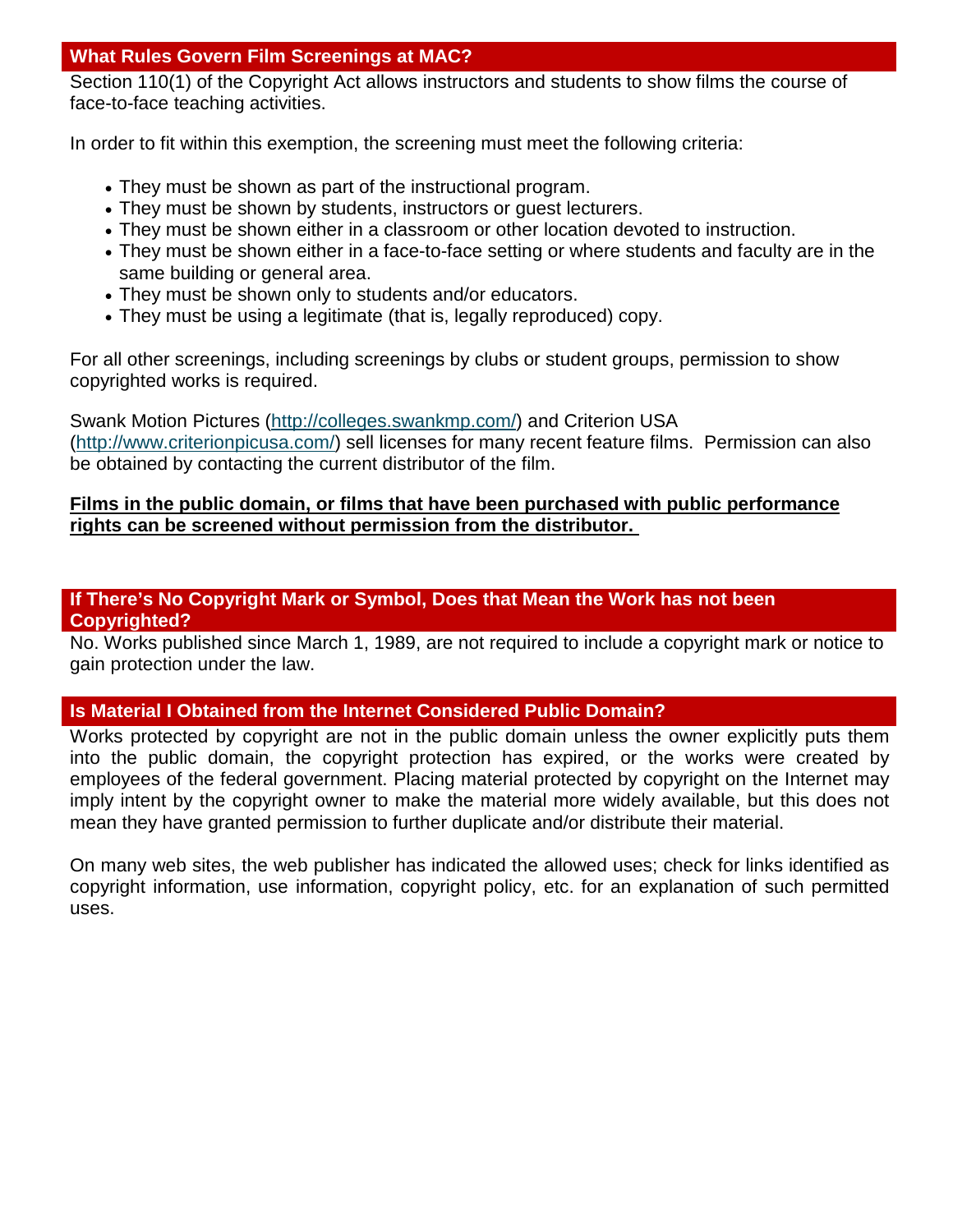## **What Rules Govern Film Screenings at MAC?**

Section 110(1) of the Copyright Act allows instructors and students to show films the course of face-to-face teaching activities.

In order to fit within this exemption, the screening must meet the following criteria:

- They must be shown as part of the instructional program.
- They must be shown by students, instructors or guest lecturers.
- They must be shown either in a classroom or other location devoted to instruction.
- They must be shown either in a face-to-face setting or where students and faculty are in the same building or general area.
- They must be shown only to students and/or educators.
- They must be using a legitimate (that is, legally reproduced) copy.

For all other screenings, including screenings by clubs or student groups, permission to show copyrighted works is required.

Swank Motion Pictures [\(http://colleges.swankmp.com/\)](http://colleges.swankmp.com/) and Criterion USA [\(http://www.criterionpicusa.com/\)](http://www.criterionpicusa.com/) sell licenses for many recent feature films. Permission can also be obtained by contacting the current distributor of the film.

## **[Films in the public domain, or films that have been purchased with public performance](http://www.jccc.edu/policy_statements/copyright/copyright-faq.html#16)  [rights can be screened without permission from the distributor.](http://www.jccc.edu/policy_statements/copyright/copyright-faq.html#16)**

### **If There's No Copyright Mark or Symbol, Does that Mean the Work has not been Copyrighted?**

No. Works published since March 1, 1989, are not required to include a copyright mark or notice to gain protection under the law.

## **Is Material I Obtained from the Internet Considered Public Domain?**

Works protected by copyright are not in the public domain unless the owner explicitly puts them into the public domain, the copyright protection has expired, or the works were created by employees of the federal government. Placing material protected by copyright on the Internet may imply intent by the copyright owner to make the material more widely available, but this does not mean they have granted permission to further duplicate and/or distribute their material.

On many web sites, the web publisher has indicated the allowed uses; check for links identified as copyright information, use information, copyright policy, etc. for an explanation of such permitted uses.